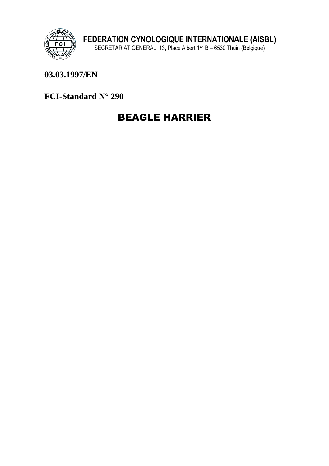

#### 03.03.1997/EN

FCI-Standard N° 290

# **BEAGLE HARRIER**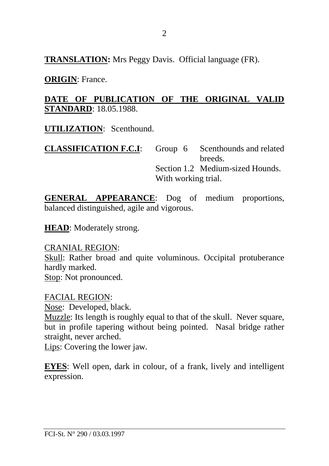**TRANSLATION:** Mrs Peggy Davis. Official language (FR).

**ORIGIN**: France.

#### **DATE OF PUBLICATION OF THE ORIGINAL VALID STANDARD**: 18.05.1988.

**UTILIZATION**: Scenthound.

**CLASSIFICATION F.C.I**: Group 6 Scenthounds and related breeds. Section 1.2 Medium-sized Hounds. With working trial.

**GENERAL APPEARANCE**: Dog of medium proportions, balanced distinguished, agile and vigorous.

**HEAD**: Moderately strong.

CRANIAL REGION:

Skull: Rather broad and quite voluminous. Occipital protuberance hardly marked.

Stop: Not pronounced.

FACIAL REGION: Nose: Developed, black. Muzzle: Its length is roughly equal to that of the skull. Never square, but in profile tapering without being pointed. Nasal bridge rather straight, never arched.

Lips: Covering the lower jaw.

**EYES**: Well open, dark in colour, of a frank, lively and intelligent expression.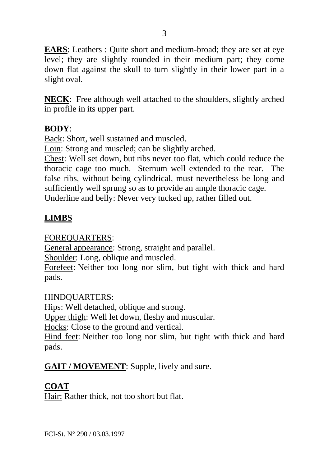**EARS**: Leathers : Quite short and medium-broad; they are set at eye level; they are slightly rounded in their medium part; they come down flat against the skull to turn slightly in their lower part in a slight oval.

**NECK**: Free although well attached to the shoulders, slightly arched in profile in its upper part.

#### **BODY**:

Back: Short, well sustained and muscled.

Loin: Strong and muscled; can be slightly arched.

Chest: Well set down, but ribs never too flat, which could reduce the thoracic cage too much. Sternum well extended to the rear. The false ribs, without being cylindrical, must nevertheless be long and sufficiently well sprung so as to provide an ample thoracic cage.

Underline and belly: Never very tucked up, rather filled out.

# **LIMBS**

FOREQUARTERS:

General appearance: Strong, straight and parallel.

Shoulder: Long, oblique and muscled.

Forefeet: Neither too long nor slim, but tight with thick and hard pads.

#### HINDQUARTERS:

Hips: Well detached, oblique and strong.

Upper thigh: Well let down, fleshy and muscular.

Hocks: Close to the ground and vertical.

Hind feet: Neither too long nor slim, but tight with thick and hard pads.

**GAIT / MOVEMENT**: Supple, lively and sure.

# **COAT**

Hair: Rather thick, not too short but flat.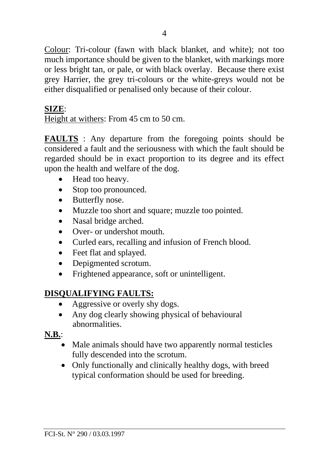Colour: Tri-colour (fawn with black blanket, and white); not too much importance should be given to the blanket, with markings more or less bright tan, or pale, or with black overlay. Because there exist grey Harrier, the grey tri-colours or the white-greys would not be either disqualified or penalised only because of their colour.

#### **SIZE**:

Height at withers: From 45 cm to 50 cm.

**FAULTS** : Any departure from the foregoing points should be considered a fault and the seriousness with which the fault should be regarded should be in exact proportion to its degree and its effect upon the health and welfare of the dog.

- Head too heavy.
- Stop too pronounced.
- Butterfly nose.
- Muzzle too short and square; muzzle too pointed.
- Nasal bridge arched.
- Over- or undershot mouth
- Curled ears, recalling and infusion of French blood.
- Feet flat and splayed.
- Depigmented scrotum.
- Frightened appearance, soft or unintelligent.

## **DISQUALIFYING FAULTS:**

- Aggressive or overly shy dogs.
- Any dog clearly showing physical of behavioural abnormalities.

## **N.B.**:

- Male animals should have two apparently normal testicles fully descended into the scrotum.
- Only functionally and clinically healthy dogs, with breed typical conformation should be used for breeding.